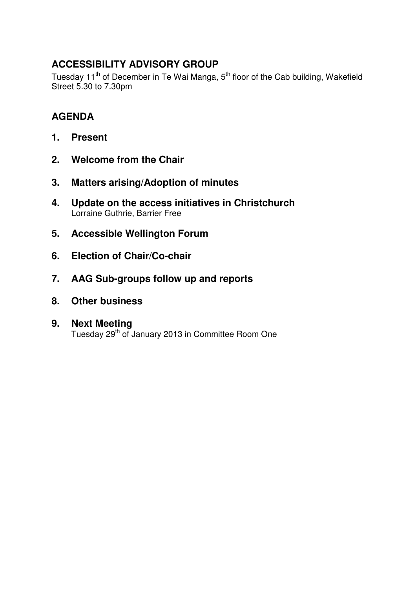# **ACCESSIBILITY ADVISORY GROUP**

Tuesday 11<sup>th</sup> of December in Te Wai Manga, 5<sup>th</sup> floor of the Cab building, Wakefield Street 5.30 to 7.30pm

# **AGENDA**

- **1. Present**
- **2. Welcome from the Chair**
- **3. Matters arising/Adoption of minutes**
- **4. Update on the access initiatives in Christchurch** Lorraine Guthrie, Barrier Free
- **5. Accessible Wellington Forum**
- **6. Election of Chair/Co-chair**
- **7. AAG Sub-groups follow up and reports**
- **8. Other business**

## **9. Next Meeting**

Tuesday 29th of January 2013 in Committee Room One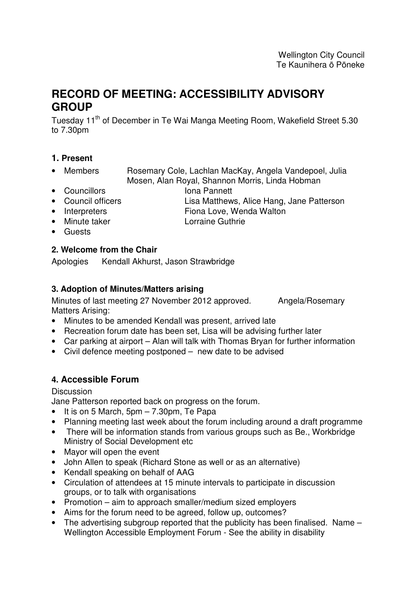# **RECORD OF MEETING: ACCESSIBILITY ADVISORY GROUP**

Tuesday 11<sup>th</sup> of December in Te Wai Manga Meeting Room, Wakefield Street 5.30 to 7.30pm

## **1. Present**

- Members Rosemary Cole, Lachlan MacKay, Angela Vandepoel, Julia Mosen, Alan Royal, Shannon Morris, Linda Hobman
- Councillors **Iona Pannett**
- Council officers Lisa Matthews, Alice Hang, Jane Patterson
- Interpreters Fiona Love, Wenda Walton
- 
- Minute taker Lorraine Guthrie
- Guests

## **2. Welcome from the Chair**

Apologies Kendall Akhurst, Jason Strawbridge

## **3. Adoption of Minutes/Matters arising**

Minutes of last meeting 27 November 2012 approved. Angela/Rosemary Matters Arising:

- Minutes to be amended Kendall was present, arrived late
- Recreation forum date has been set, Lisa will be advising further later
- Car parking at airport Alan will talk with Thomas Bryan for further information
- Civil defence meeting postponed new date to be advised

## **4. Accessible Forum**

### **Discussion**

Jane Patterson reported back on progress on the forum.

- It is on 5 March, 5pm 7.30pm, Te Papa
- Planning meeting last week about the forum including around a draft programme
- There will be information stands from various groups such as Be., Workbridge Ministry of Social Development etc
- Mayor will open the event
- John Allen to speak (Richard Stone as well or as an alternative)
- Kendall speaking on behalf of AAG
- Circulation of attendees at 15 minute intervals to participate in discussion groups, or to talk with organisations
- Promotion aim to approach smaller/medium sized employers
- Aims for the forum need to be agreed, follow up, outcomes?
- The advertising subgroup reported that the publicity has been finalised. Name Wellington Accessible Employment Forum - See the ability in disability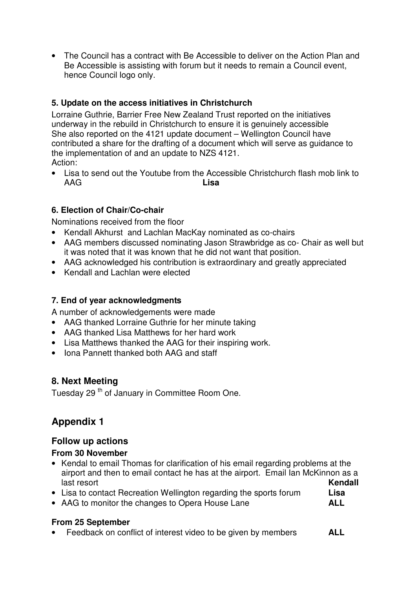• The Council has a contract with Be Accessible to deliver on the Action Plan and Be Accessible is assisting with forum but it needs to remain a Council event, hence Council logo only.

## **5. Update on the access initiatives in Christchurch**

Lorraine Guthrie, Barrier Free New Zealand Trust reported on the initiatives underway in the rebuild in Christchurch to ensure it is genuinely accessible She also reported on the 4121 update document – Wellington Council have contributed a share for the drafting of a document which will serve as guidance to the implementation of and an update to NZS 4121. Action:

• Lisa to send out the Youtube from the Accessible Christchurch flash mob link to AAG **Lisa**

## **6. Election of Chair/Co-chair**

Nominations received from the floor

- Kendall Akhurst and Lachlan MacKay nominated as co-chairs
- AAG members discussed nominating Jason Strawbridge as co- Chair as well but it was noted that it was known that he did not want that position.
- AAG acknowledged his contribution is extraordinary and greatly appreciated
- Kendall and Lachlan were elected

## **7. End of year acknowledgments**

A number of acknowledgements were made

- AAG thanked Lorraine Guthrie for her minute taking
- AAG thanked Lisa Matthews for her hard work
- Lisa Matthews thanked the AAG for their inspiring work.
- Iona Pannett thanked both AAG and staff

## **8. Next Meeting**

Tuesday 29<sup>th</sup> of January in Committee Room One.

# **Appendix 1**

## **Follow up actions**

## **From 30 November**

- Kendal to email Thomas for clarification of his email regarding problems at the airport and then to email contact he has at the airport. Email Ian McKinnon as a last resort **Kendall**
- Lisa to contact Recreation Wellington regarding the sports forum **Lisa**
- AAG to monitor the changes to Opera House Lane **ALL**

## **From 25 September**

• Feedback on conflict of interest video to be given by members **ALL**